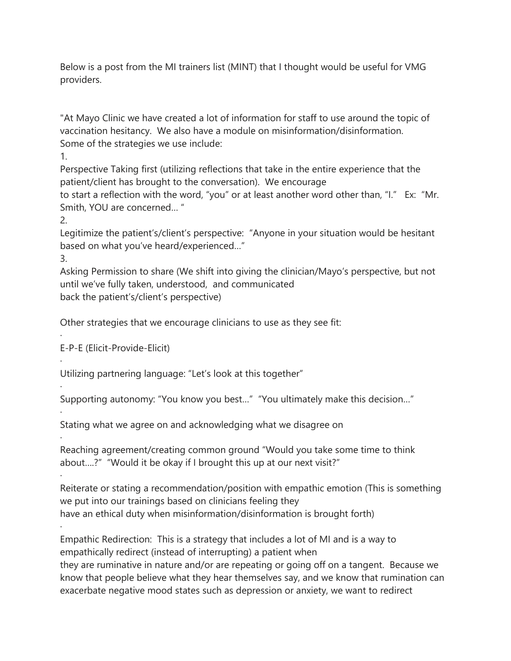Below is a post from the MI trainers list (MINT) that I thought would be useful for VMG providers.

"At Mayo Clinic we have created a lot of information for staff to use around the topic of vaccination hesitancy. We also have a module on misinformation/disinformation. Some of the strategies we use include:

1.

Perspective Taking first (utilizing reflections that take in the entire experience that the patient/client has brought to the conversation). We encourage

to start a reflection with the word, "you" or at least another word other than, "I." Ex: "Mr. Smith, YOU are concerned… "

2.

Legitimize the patient's/client's perspective: "Anyone in your situation would be hesitant based on what you've heard/experienced…"

3.

·

·

·

·

·

·

·

Asking Permission to share (We shift into giving the clinician/Mayo's perspective, but not until we've fully taken, understood, and communicated back the patient's/client's perspective)

Other strategies that we encourage clinicians to use as they see fit:

E-P-E (Elicit-Provide-Elicit)

Utilizing partnering language: "Let's look at this together"

Supporting autonomy: "You know you best…" "You ultimately make this decision…"

Stating what we agree on and acknowledging what we disagree on

Reaching agreement/creating common ground "Would you take some time to think about….?" "Would it be okay if I brought this up at our next visit?"

Reiterate or stating a recommendation/position with empathic emotion (This is something we put into our trainings based on clinicians feeling they have an ethical duty when misinformation/disinformation is brought forth)

Empathic Redirection: This is a strategy that includes a lot of MI and is a way to empathically redirect (instead of interrupting) a patient when

they are ruminative in nature and/or are repeating or going off on a tangent. Because we know that people believe what they hear themselves say, and we know that rumination can exacerbate negative mood states such as depression or anxiety, we want to redirect